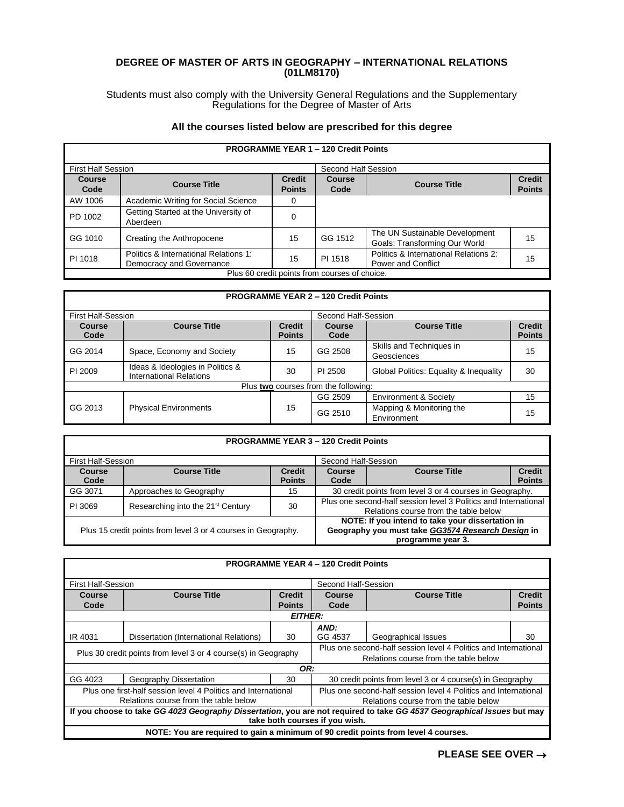## **DEGREE OF MASTER OF ARTS IN GEOGRAPHY – INTERNATIONAL RELATIONS (01LM8170)**

Students must also comply with the University General Regulations and the Supplementary Regulations for the Degree of Master of Arts

## **All the courses listed below are prescribed for this degree**

| <b>PROGRAMME YEAR 1 - 120 Credit Points</b>   |                                       |               |                     |                                       |               |
|-----------------------------------------------|---------------------------------------|---------------|---------------------|---------------------------------------|---------------|
| <b>First Half Session</b>                     |                                       |               | Second Half Session |                                       |               |
| <b>Course</b>                                 | <b>Course Title</b>                   | <b>Credit</b> | <b>Course</b>       | <b>Course Title</b>                   | <b>Credit</b> |
| Code                                          |                                       | <b>Points</b> | Code                |                                       | <b>Points</b> |
| AW 1006                                       | Academic Writing for Social Science   | 0             |                     |                                       |               |
| PD 1002                                       | Getting Started at the University of  | 0             |                     |                                       |               |
|                                               | Aberdeen                              |               |                     |                                       |               |
| GG 1010                                       | Creating the Anthropocene             | 15            | GG 1512             | The UN Sustainable Development        | 15            |
|                                               |                                       |               |                     | Goals: Transforming Our World         |               |
| PI 1018                                       | Politics & International Relations 1: | 15            | PI 1518             | Politics & International Relations 2: | 15            |
|                                               | Democracy and Governance              |               |                     | <b>Power and Conflict</b>             |               |
| Plus 60 credit points from courses of choice. |                                       |               |                     |                                       |               |

## **PROGRAMME YEAR 2 – 120 Credit Points**

| <b>First Half-Session</b>            |                                                                    |                                | Second Half-Session |                                         |                                |
|--------------------------------------|--------------------------------------------------------------------|--------------------------------|---------------------|-----------------------------------------|--------------------------------|
| Course<br>Code                       | <b>Course Title</b>                                                | <b>Credit</b><br><b>Points</b> | Course<br>Code      | <b>Course Title</b>                     | <b>Credit</b><br><b>Points</b> |
| GG 2014                              | Space, Economy and Society                                         | 15                             | GG 2508             | Skills and Techniques in<br>Geosciences | 15                             |
| PI 2009                              | Ideas & Ideologies in Politics &<br><b>International Relations</b> | 30                             | PI 2508             | Global Politics: Equality & Inequality  | 30                             |
| Plus two courses from the following: |                                                                    |                                |                     |                                         |                                |
| GG 2013                              | <b>Physical Environments</b>                                       | 15                             | GG 2509             | <b>Environment &amp; Society</b>        | 15                             |
|                                      |                                                                    |                                | GG 2510             | Mapping & Monitoring the<br>Environment | 15                             |

| <b>PROGRAMME YEAR 3 - 120 Credit Points</b>                   |                                               |                                |                                                                                                                            |                                                          |                                |  |
|---------------------------------------------------------------|-----------------------------------------------|--------------------------------|----------------------------------------------------------------------------------------------------------------------------|----------------------------------------------------------|--------------------------------|--|
| <b>First Half-Session</b>                                     |                                               |                                | Second Half-Session                                                                                                        |                                                          |                                |  |
| Course<br>Code                                                | <b>Course Title</b>                           | <b>Credit</b><br><b>Points</b> | Course<br>Code                                                                                                             | <b>Course Title</b>                                      | <b>Credit</b><br><b>Points</b> |  |
| GG 3071                                                       | Approaches to Geography                       | 15                             |                                                                                                                            | 30 credit points from level 3 or 4 courses in Geography. |                                |  |
| PI 3069                                                       | Researching into the 21 <sup>st</sup> Century | 30                             | Plus one second-half session level 3 Politics and International<br>Relations course from the table below                   |                                                          |                                |  |
| Plus 15 credit points from level 3 or 4 courses in Geography. |                                               |                                | NOTE: If you intend to take your dissertation in<br>Geography you must take GG3574 Research Design in<br>programme year 3. |                                                          |                                |  |

## **PROGRAMME YEAR 4 – 120 Credit Points**

| <b>First Half-Session</b>                                                                                              |                                                                                           |                                                                 | Second Half-Session                                             |                     |               |  |
|------------------------------------------------------------------------------------------------------------------------|-------------------------------------------------------------------------------------------|-----------------------------------------------------------------|-----------------------------------------------------------------|---------------------|---------------|--|
| Course                                                                                                                 | <b>Course Title</b>                                                                       | <b>Credit</b>                                                   | <b>Course Title</b><br><b>Credit</b><br>Course                  |                     |               |  |
| Code                                                                                                                   |                                                                                           | <b>Points</b>                                                   | Code                                                            |                     | <b>Points</b> |  |
|                                                                                                                        |                                                                                           | <b>EITHER:</b>                                                  |                                                                 |                     |               |  |
|                                                                                                                        |                                                                                           |                                                                 | AND:                                                            |                     |               |  |
| IR 4031                                                                                                                | Dissertation (International Relations)                                                    | 30                                                              | GG 4537                                                         | Geographical Issues | 30            |  |
|                                                                                                                        |                                                                                           | Plus one second-half session level 4 Politics and International |                                                                 |                     |               |  |
| Plus 30 credit points from level 3 or 4 course(s) in Geography                                                         |                                                                                           |                                                                 | Relations course from the table below                           |                     |               |  |
|                                                                                                                        | OR:                                                                                       |                                                                 |                                                                 |                     |               |  |
| GG 4023                                                                                                                | Geography Dissertation<br>30<br>30 credit points from level 3 or 4 course(s) in Geography |                                                                 |                                                                 |                     |               |  |
| Plus one first-half session level 4 Politics and International                                                         |                                                                                           |                                                                 | Plus one second-half session level 4 Politics and International |                     |               |  |
| Relations course from the table below                                                                                  |                                                                                           |                                                                 | Relations course from the table below                           |                     |               |  |
| If you choose to take GG 4023 Geography Dissertation, you are not required to take GG 4537 Geographical Issues but may |                                                                                           |                                                                 |                                                                 |                     |               |  |
| take both courses if you wish.                                                                                         |                                                                                           |                                                                 |                                                                 |                     |               |  |
|                                                                                                                        | NOTE: You are required to gain a minimum of 90 credit points from level 4 courses.        |                                                                 |                                                                 |                     |               |  |